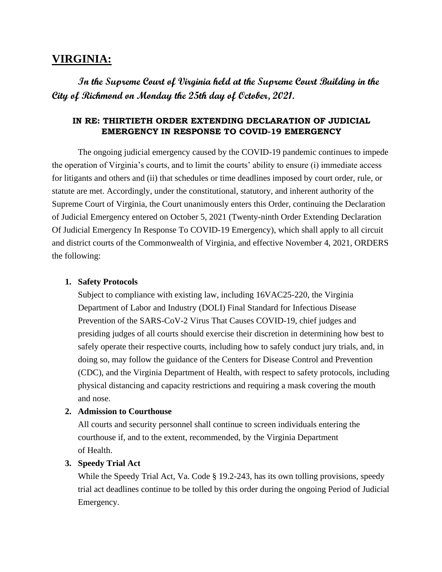# **VIRGINIA:**

**In the Supreme Court of Virginia held at the Supreme Court Building in the City of Richmond on Monday the 25th day of October, 2021.** 

# **IN RE: THIRTIETH ORDER EXTENDING DECLARATION OF JUDICIAL EMERGENCY IN RESPONSE TO COVID-19 EMERGENCY**

The ongoing judicial emergency caused by the COVID-19 pandemic continues to impede the operation of Virginia's courts, and to limit the courts' ability to ensure (i) immediate access for litigants and others and (ii) that schedules or time deadlines imposed by court order, rule, or statute are met. Accordingly, under the constitutional, statutory, and inherent authority of the Supreme Court of Virginia, the Court unanimously enters this Order, continuing the Declaration of Judicial Emergency entered on October 5, 2021 (Twenty-ninth Order Extending Declaration Of Judicial Emergency In Response To COVID-19 Emergency), which shall apply to all circuit and district courts of the Commonwealth of Virginia, and effective November 4, 2021, ORDERS the following:

#### **1. Safety Protocols**

Subject to compliance with existing law, including 16VAC25-220, the Virginia Department of Labor and Industry (DOLI) Final Standard for Infectious Disease Prevention of the SARS-CoV-2 Virus That Causes COVID-19, chief judges and presiding judges of all courts should exercise their discretion in determining how best to safely operate their respective courts, including how to safely conduct jury trials, and, in doing so, may follow the guidance of the Centers for Disease Control and Prevention (CDC), and the Virginia Department of Health, with respect to safety protocols, including physical distancing and capacity restrictions and requiring a mask covering the mouth and nose.

### **2. Admission to Courthouse**

All courts and security personnel shall continue to screen individuals entering the courthouse if, and to the extent, recommended, by the Virginia Department of Health.

#### **3. Speedy Trial Act**

While the Speedy Trial Act, Va. Code § 19.2-243, has its own tolling provisions, speedy trial act deadlines continue to be tolled by this order during the ongoing Period of Judicial Emergency.